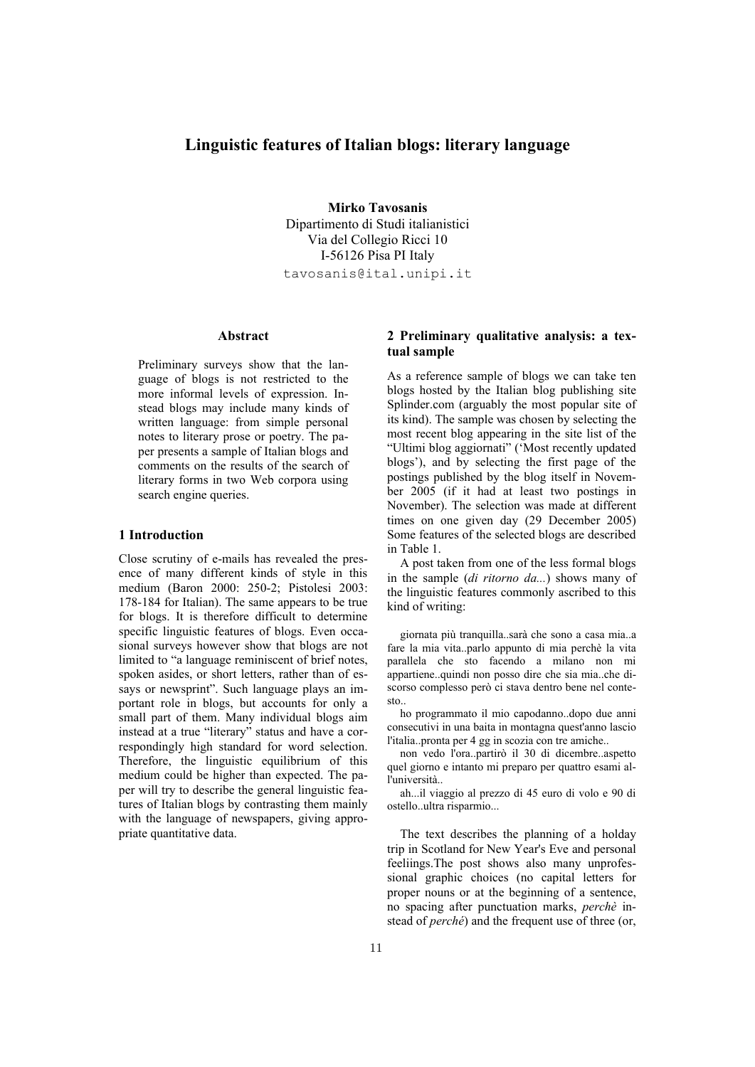# **Linguistic features of Italian blogs: literary language**

**Mirko Tavosanis** Dipartimento di Studi italianistici Via del Collegio Ricci 10 I-56126 Pisa PI Italy tavosanis@ital.unipi.it

### **Abstract**

Preliminary surveys show that the language of blogs is not restricted to the more informal levels of expression. Instead blogs may include many kinds of written language: from simple personal notes to literary prose or poetry. The paper presents a sample of Italian blogs and comments on the results of the search of literary forms in two Web corpora using search engine queries.

#### **1 Introduction**

Close scrutiny of e-mails has revealed the presence of many different kinds of style in this medium (Baron 2000: 250-2; Pistolesi 2003: 178-184 for Italian). The same appears to be true for blogs. It is therefore difficult to determine specific linguistic features of blogs. Even occasional surveys however show that blogs are not limited to "a language reminiscent of brief notes, spoken asides, or short letters, rather than of essays or newsprint". Such language plays an important role in blogs, but accounts for only a small part of them. Many individual blogs aim instead at a true "literary" status and have a correspondingly high standard for word selection. Therefore, the linguistic equilibrium of this medium could be higher than expected. The paper will try to describe the general linguistic features of Italian blogs by contrasting them mainly with the language of newspapers, giving appropriate quantitative data.

## **2 Preliminary qualitative analysis: a textual sample**

As a reference sample of blogs we can take ten blogs hosted by the Italian blog publishing site Splinder.com (arguably the most popular site of its kind). The sample was chosen by selecting the most recent blog appearing in the site list of the "Ultimi blog aggiornati" ('Most recently updated blogs'), and by selecting the first page of the postings published by the blog itself in November 2005 (if it had at least two postings in November). The selection was made at different times on one given day (29 December 2005) Some features of the selected blogs are described in Table 1.

A post taken from one of the less formal blogs in the sample (*di ritorno da...*) shows many of the linguistic features commonly ascribed to this kind of writing:

giornata più tranquilla..sarà che sono a casa mia..a fare la mia vita..parlo appunto di mia perchè la vita parallela che sto facendo a milano non mi appartiene..quindi non posso dire che sia mia..che discorso complesso però ci stava dentro bene nel contesto..

ho programmato il mio capodanno..dopo due anni consecutivi in una baita in montagna quest'anno lascio l'italia..pronta per 4 gg in scozia con tre amiche..

non vedo l'ora..partirò il 30 di dicembre..aspetto quel giorno e intanto mi preparo per quattro esami all'università..

ah...il viaggio al prezzo di 45 euro di volo e 90 di ostello..ultra risparmio...

The text describes the planning of a holday trip in Scotland for New Year's Eve and personal feeliings.The post shows also many unprofessional graphic choices (no capital letters for proper nouns or at the beginning of a sentence, no spacing after punctuation marks, *perchè* instead of *perché*) and the frequent use of three (or,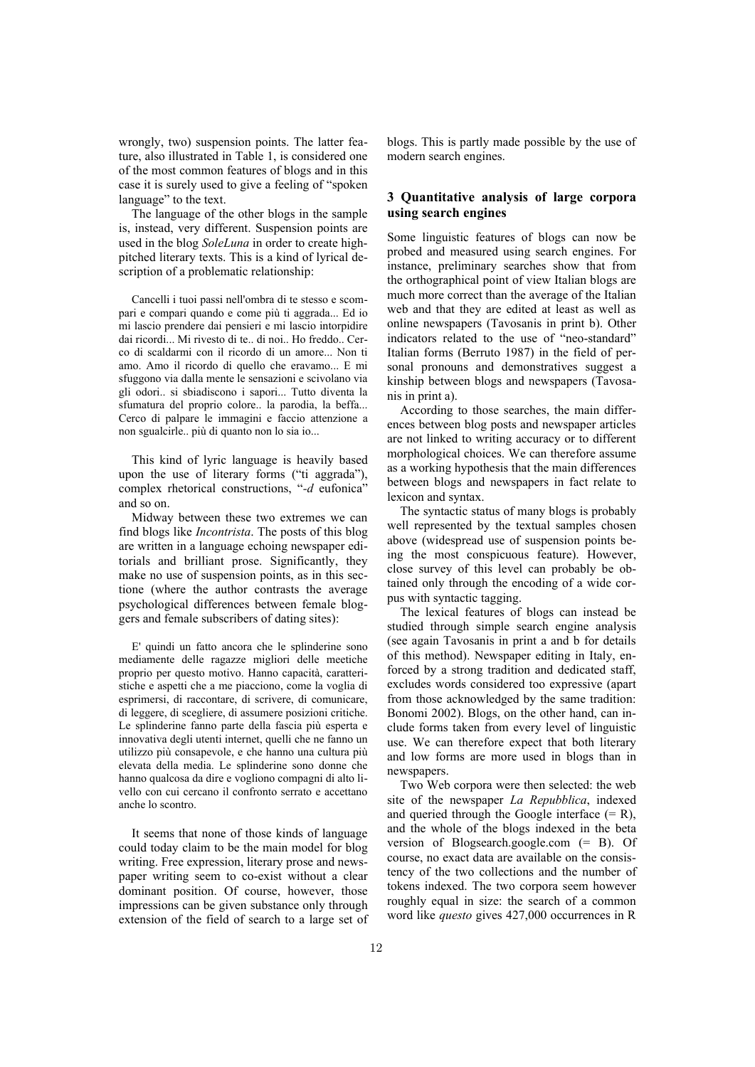wrongly, two) suspension points. The latter feature, also illustrated in Table 1, is considered one of the most common features of blogs and in this case it is surely used to give a feeling of "spoken language" to the text.

The language of the other blogs in the sample is, instead, very different. Suspension points are used in the blog *SoleLuna* in order to create highpitched literary texts. This is a kind of lyrical description of a problematic relationship:

Cancelli i tuoi passi nell'ombra di te stesso e scompari e compari quando e come più ti aggrada... Ed io mi lascio prendere dai pensieri e mi lascio intorpidire dai ricordi... Mi rivesto di te.. di noi.. Ho freddo.. Cerco di scaldarmi con il ricordo di un amore... Non ti amo. Amo il ricordo di quello che eravamo... E mi sfuggono via dalla mente le sensazioni e scivolano via gli odori.. si sbiadiscono i sapori... Tutto diventa la sfumatura del proprio colore.. la parodia, la beffa... Cerco di palpare le immagini e faccio attenzione a non sgualcirle.. più di quanto non lo sia io...

This kind of lyric language is heavily based upon the use of literary forms ("ti aggrada"), complex rhetorical constructions, "*-d* eufonica" and so on.

Midway between these two extremes we can find blogs like *Incontrista*. The posts of this blog are written in a language echoing newspaper editorials and brilliant prose. Significantly, they make no use of suspension points, as in this sectione (where the author contrasts the average psychological differences between female bloggers and female subscribers of dating sites):

E' quindi un fatto ancora che le splinderine sono mediamente delle ragazze migliori delle meetiche proprio per questo motivo. Hanno capacità, caratteristiche e aspetti che a me piacciono, come la voglia di esprimersi, di raccontare, di scrivere, di comunicare, di leggere, di scegliere, di assumere posizioni critiche. Le splinderine fanno parte della fascia più esperta e innovativa degli utenti internet, quelli che ne fanno un utilizzo più consapevole, e che hanno una cultura più elevata della media. Le splinderine sono donne che hanno qualcosa da dire e vogliono compagni di alto livello con cui cercano il confronto serrato e accettano anche lo scontro.

It seems that none of those kinds of language could today claim to be the main model for blog writing. Free expression, literary prose and newspaper writing seem to co-exist without a clear dominant position. Of course, however, those impressions can be given substance only through extension of the field of search to a large set of blogs. This is partly made possible by the use of modern search engines.

## **3 Quantitative analysis of large corpora using search engines**

Some linguistic features of blogs can now be probed and measured using search engines. For instance, preliminary searches show that from the orthographical point of view Italian blogs are much more correct than the average of the Italian web and that they are edited at least as well as online newspapers (Tavosanis in print b). Other indicators related to the use of "neo-standard" Italian forms (Berruto 1987) in the field of personal pronouns and demonstratives suggest a kinship between blogs and newspapers (Tavosanis in print a).

According to those searches, the main differences between blog posts and newspaper articles are not linked to writing accuracy or to different morphological choices. We can therefore assume as a working hypothesis that the main differences between blogs and newspapers in fact relate to lexicon and syntax.

The syntactic status of many blogs is probably well represented by the textual samples chosen above (widespread use of suspension points being the most conspicuous feature). However, close survey of this level can probably be obtained only through the encoding of a wide corpus with syntactic tagging.

The lexical features of blogs can instead be studied through simple search engine analysis (see again Tavosanis in print a and b for details of this method). Newspaper editing in Italy, enforced by a strong tradition and dedicated staff, excludes words considered too expressive (apart from those acknowledged by the same tradition: Bonomi 2002). Blogs, on the other hand, can include forms taken from every level of linguistic use. We can therefore expect that both literary and low forms are more used in blogs than in newspapers.

Two Web corpora were then selected: the web site of the newspaper *La Repubblica*, indexed and queried through the Google interface  $(= R)$ , and the whole of the blogs indexed in the beta version of Blogsearch.google.com (= B). Of course, no exact data are available on the consistency of the two collections and the number of tokens indexed. The two corpora seem however roughly equal in size: the search of a common word like *questo* gives 427,000 occurrences in R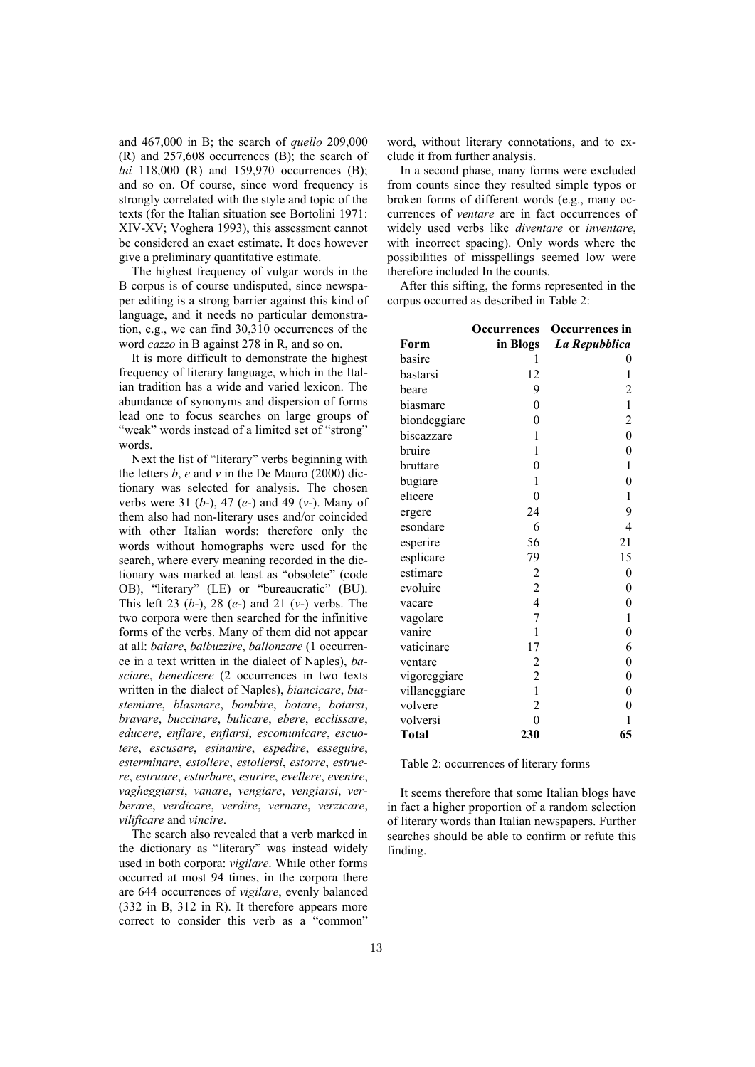and 467,000 in B; the search of *quello* 209,000 (R) and 257,608 occurrences (B); the search of *lui* 118,000 (R) and 159,970 occurrences (B); and so on. Of course, since word frequency is strongly correlated with the style and topic of the texts (for the Italian situation see Bortolini 1971: XIV-XV; Voghera 1993), this assessment cannot be considered an exact estimate. It does however give a preliminary quantitative estimate.

The highest frequency of vulgar words in the B corpus is of course undisputed, since newspaper editing is a strong barrier against this kind of language, and it needs no particular demonstration, e.g., we can find 30,310 occurrences of the word *cazzo* in B against 278 in R, and so on.

It is more difficult to demonstrate the highest frequency of literary language, which in the Italian tradition has a wide and varied lexicon. The abundance of synonyms and dispersion of forms lead one to focus searches on large groups of "weak" words instead of a limited set of "strong" words.

Next the list of "literary" verbs beginning with the letters *b*, *e* and *v* in the De Mauro (2000) dictionary was selected for analysis. The chosen verbs were 31 (*b-*), 47 (*e-*) and 49 (*v-*). Many of them also had non-literary uses and/or coincided with other Italian words: therefore only the words without homographs were used for the search, where every meaning recorded in the dictionary was marked at least as "obsolete" (code OB), "literary" (LE) or "bureaucratic" (BU). This left 23 (*b-*), 28 (*e-*) and 21 (*v-*) verbs. The two corpora were then searched for the infinitive forms of the verbs. Many of them did not appear at all: *baiare*, *balbuzzire*, *ballonzare* (1 occurrence in a text written in the dialect of Naples), *basciare*, *benedicere* (2 occurrences in two texts written in the dialect of Naples), *biancicare*, *biastemiare*, *blasmare*, *bombire*, *botare*, *botarsi*, *bravare*, *buccinare*, *bulicare*, *ebere*, *ecclissare*, *educere*, *enfiare*, *enfiarsi*, *escomunicare*, *escuotere*, *escusare*, *esinanire*, *espedire*, *esseguire*, *esterminare*, *estollere*, *estollersi*, *estorre*, *estruere*, *estruare*, *esturbare*, *esurire*, *evellere*, *evenire*, *vagheggiarsi*, *vanare*, *vengiare*, *vengiarsi*, *verberare*, *verdicare*, *verdire*, *vernare*, *verzicare*, *vilificare* and *vincire*.

The search also revealed that a verb marked in the dictionary as "literary" was instead widely used in both corpora: *vigilare*. While other forms occurred at most 94 times, in the corpora there are 644 occurrences of *vigilare*, evenly balanced (332 in B, 312 in R). It therefore appears more correct to consider this verb as a "common"

word, without literary connotations, and to exclude it from further analysis.

In a second phase, many forms were excluded from counts since they resulted simple typos or broken forms of different words (e.g., many occurrences of *ventare* are in fact occurrences of widely used verbs like *diventare* or *inventare*, with incorrect spacing). Only words where the possibilities of misspellings seemed low were therefore included In the counts.

After this sifting, the forms represented in the corpus occurred as described in Table 2:

|               | Occurrences             | Occurrences in   |
|---------------|-------------------------|------------------|
| Form          | in Blogs                | La Repubblica    |
| basire        | 1                       | 0                |
| bastarsi      | 12                      | 1                |
| beare         | 9                       | 2                |
| biasmare      | $\overline{0}$          | $\mathbf{1}$     |
| biondeggiare  | $\overline{0}$          | $\overline{c}$   |
| biscazzare    | 1                       | $\overline{0}$   |
| bruire        | 1                       | 0                |
| bruttare      | $\overline{0}$          | 1                |
| bugiare       | 1                       | $\overline{0}$   |
| elicere       | $\theta$                | 1                |
| ergere        | 24                      | 9                |
| esondare      | 6                       | 4                |
| esperire      | 56                      | 21               |
| esplicare     | 79                      | 15               |
| estimare      | $\overline{c}$          | 0                |
| evoluire      | $\frac{2}{4}$           | 0                |
| vacare        |                         | $\overline{0}$   |
| vagolare      | 7                       | $\mathbf{1}$     |
| vanire        | $\mathbf{1}$            | $\boldsymbol{0}$ |
| vaticinare    | 17                      | 6                |
| ventare       | $\overline{\mathbf{c}}$ | $\boldsymbol{0}$ |
| vigoreggiare  | $\overline{c}$          | $\boldsymbol{0}$ |
| villaneggiare | $\mathbf{1}$            | $\overline{0}$   |
| volvere       | $\overline{c}$          | $\overline{0}$   |
| volversi      | $\overline{0}$          | 1                |
| <b>Total</b>  | 230                     | 65               |

Table 2: occurrences of literary forms

It seems therefore that some Italian blogs have in fact a higher proportion of a random selection of literary words than Italian newspapers. Further searches should be able to confirm or refute this finding.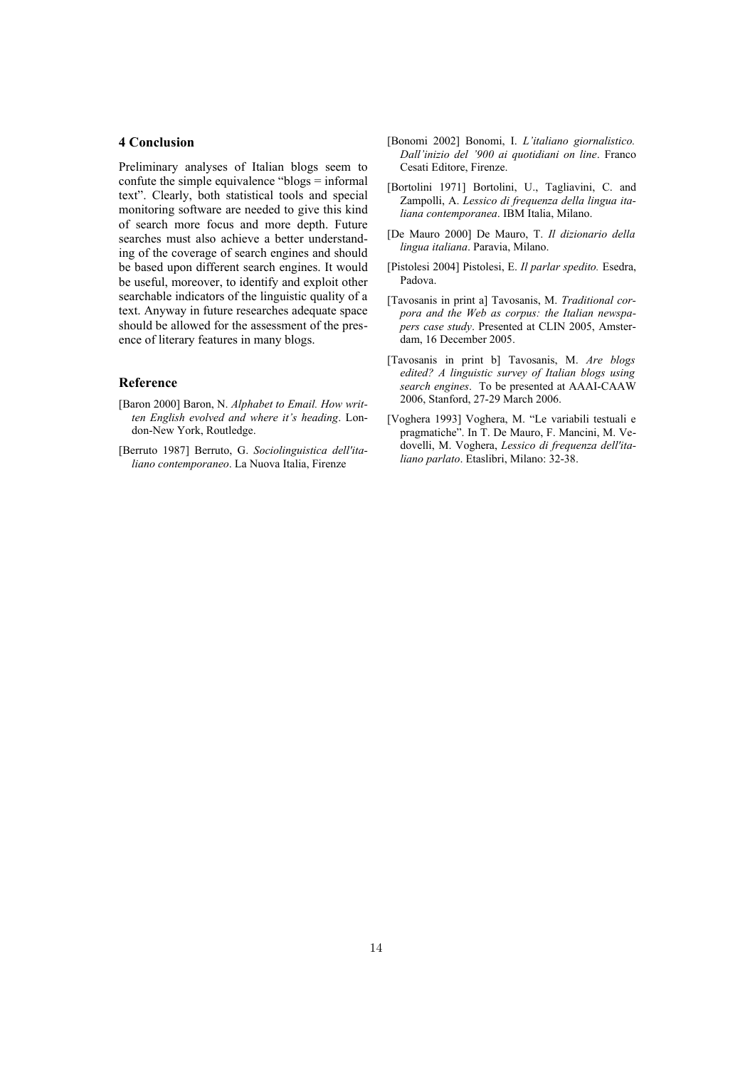### **4 Conclusion**

Preliminary analyses of Italian blogs seem to confute the simple equivalence "blogs = informal text". Clearly, both statistical tools and special monitoring software are needed to give this kind of search more focus and more depth. Future searches must also achieve a better understanding of the coverage of search engines and should be based upon different search engines. It would be useful, moreover, to identify and exploit other searchable indicators of the linguistic quality of a text. Anyway in future researches adequate space should be allowed for the assessment of the presence of literary features in many blogs.

## **Reference**

- [Baron 2000] Baron, N. *Alphabet to Email. How written English evolved and where it's heading*. London-New York, Routledge.
- [Berruto 1987] Berruto, G. *Sociolinguistica dell'italiano contemporaneo*. La Nuova Italia, Firenze
- [Bonomi 2002] Bonomi, I. *L'italiano giornalistico. Dall'inizio del '900 ai quotidiani on line*. Franco Cesati Editore, Firenze.
- [Bortolini 1971] Bortolini, U., Tagliavini, C. and Zampolli, A. *Lessico di frequenza della lingua italiana contemporanea*. IBM Italia, Milano.
- [De Mauro 2000] De Mauro, T. *Il dizionario della lingua italiana*. Paravia, Milano.
- [Pistolesi 2004] Pistolesi, E. *Il parlar spedito.* Esedra, Padova.
- [Tavosanis in print a] Tavosanis, M. *Traditional corpora and the Web as corpus: the Italian newspapers case study*. Presented at CLIN 2005, Amsterdam, 16 December 2005.
- [Tavosanis in print b] Tavosanis, M. *Are blogs edited? A linguistic survey of Italian blogs using search engines*. To be presented at AAAI-CAAW 2006, Stanford, 27-29 March 2006.
- [Voghera 1993] Voghera, M. "Le variabili testuali e pragmatiche". In T. De Mauro, F. Mancini, M. Vedovelli, M. Voghera, *Lessico di frequenza dell'italiano parlato*. Etaslibri, Milano: 32-38.